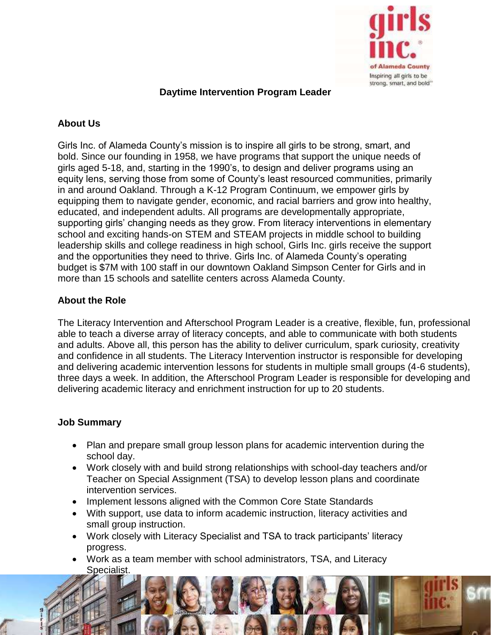

## **Daytime Intervention Program Leader**

# **About Us**

Girls Inc. of Alameda County's mission is to inspire all girls to be strong, smart, and bold. Since our founding in 1958, we have programs that support the unique needs of girls aged 5-18, and, starting in the 1990's, to design and deliver programs using an equity lens, serving those from some of County's least resourced communities, primarily in and around Oakland. Through a K-12 Program Continuum, we empower girls by equipping them to navigate gender, economic, and racial barriers and grow into healthy, educated, and independent adults. All programs are developmentally appropriate, supporting girls' changing needs as they grow. From literacy interventions in elementary school and exciting hands-on STEM and STEAM projects in middle school to building leadership skills and college readiness in high school, Girls Inc. girls receive the support and the opportunities they need to thrive. Girls Inc. of Alameda County's operating budget is \$7M with 100 staff in our downtown Oakland Simpson Center for Girls and in more than 15 schools and satellite centers across Alameda County.

## **About the Role**

The Literacy Intervention and Afterschool Program Leader is a creative, flexible, fun, professional able to teach a diverse array of literacy concepts, and able to communicate with both students and adults. Above all, this person has the ability to deliver curriculum, spark curiosity, creativity and confidence in all students. The Literacy Intervention instructor is responsible for developing and delivering academic intervention lessons for students in multiple small groups (4-6 students), three days a week. In addition, the Afterschool Program Leader is responsible for developing and delivering academic literacy and enrichment instruction for up to 20 students.

## **Job Summary**

- Plan and prepare small group lesson plans for academic intervention during the school day.
- Work closely with and build strong relationships with school-day teachers and/or Teacher on Special Assignment (TSA) to develop lesson plans and coordinate intervention services.
- Implement lessons aligned with the Common Core State Standards
- With support, use data to inform academic instruction, literacy activities and small group instruction.
- Work closely with Literacy Specialist and TSA to track participants' literacy progress.
- Work as a team member with school administrators, TSA, and Literacy Specialist.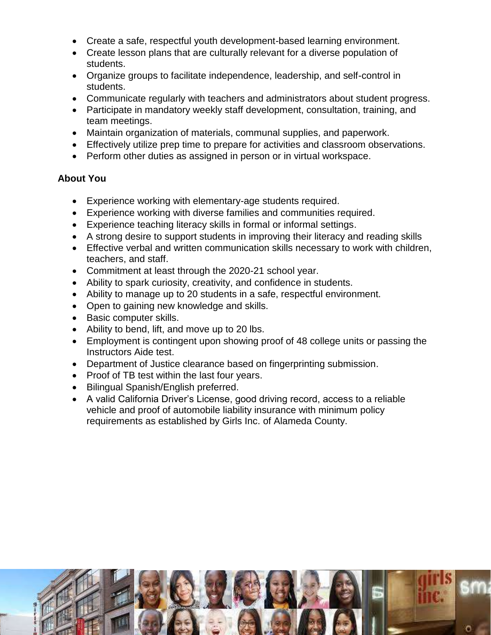- Create a safe, respectful youth development-based learning environment.
- Create lesson plans that are culturally relevant for a diverse population of students.
- Organize groups to facilitate independence, leadership, and self-control in students.
- Communicate regularly with teachers and administrators about student progress.
- Participate in mandatory weekly staff development, consultation, training, and team meetings.
- Maintain organization of materials, communal supplies, and paperwork.
- Effectively utilize prep time to prepare for activities and classroom observations.
- Perform other duties as assigned in person or in virtual workspace.

#### **About You**

- Experience working with elementary-age students required.
- Experience working with diverse families and communities required.
- Experience teaching literacy skills in formal or informal settings.
- A strong desire to support students in improving their literacy and reading skills
- Effective verbal and written communication skills necessary to work with children, teachers, and staff.
- Commitment at least through the 2020-21 school year.
- Ability to spark curiosity, creativity, and confidence in students.
- Ability to manage up to 20 students in a safe, respectful environment.
- Open to gaining new knowledge and skills.
- Basic computer skills.
- Ability to bend, lift, and move up to 20 lbs.
- Employment is contingent upon showing proof of 48 college units or passing the Instructors Aide test.
- Department of Justice clearance based on fingerprinting submission.
- Proof of TB test within the last four years.
- Bilingual Spanish/English preferred.
- A valid California Driver's License, good driving record, access to a reliable vehicle and proof of automobile liability insurance with minimum policy requirements as established by Girls Inc. of Alameda County.